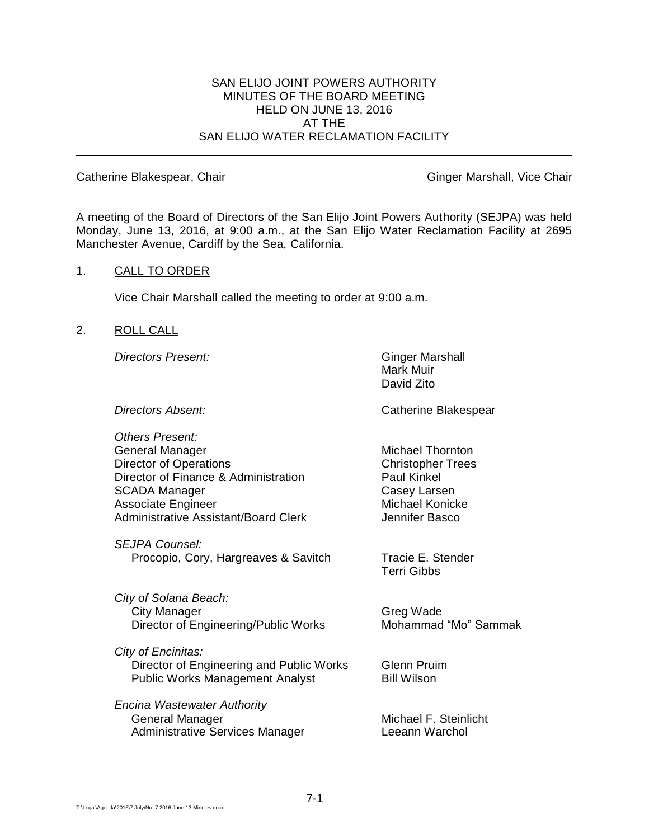### SAN ELIJO JOINT POWERS AUTHORITY MINUTES OF THE BOARD MEETING HELD ON JUNE 13, 2016 AT THE SAN ELIJO WATER RECLAMATION FACILITY

#### Catherine Blakespear, Chair Ginger Marshall, Vice Chair Ginger Marshall, Vice Chair

A meeting of the Board of Directors of the San Elijo Joint Powers Authority (SEJPA) was held Monday, June 13, 2016, at 9:00 a.m., at the San Elijo Water Reclamation Facility at 2695 Manchester Avenue, Cardiff by the Sea, California.

#### 1. CALL TO ORDER

Vice Chair Marshall called the meeting to order at 9:00 a.m.

#### 2. ROLL CALL

**Directors Present:** Ginger Marshall

*Others Present:* General Manager Michael Thornton Director of Operations **Christopher Trees** Director of Finance & Administration Paul Kinkel SCADA Manager Casey Larsen Associate Engineer Michael Konicke Administrative Assistant/Board Clerk The Multiple of Henrifer Basco

*SEJPA Counsel:* Procopio, Cory, Hargreaves & Savitch Tracie E. Stender

*City of Solana Beach:* City Manager Greg Wade Director of Engineering/Public Works Mohammad "Mo" Sammak

*City of Encinitas:* **Director of Engineering and Public Works Glenn Pruim** Public Works Management Analyst Bill Wilson

*Encina Wastewater Authority* General Manager Michael F. Steinlicht Administrative Services Manager **Leeann Warchol** 

Mark Muir David Zito

**Directors Absent:** Catherine Blakespear

Terri Gibbs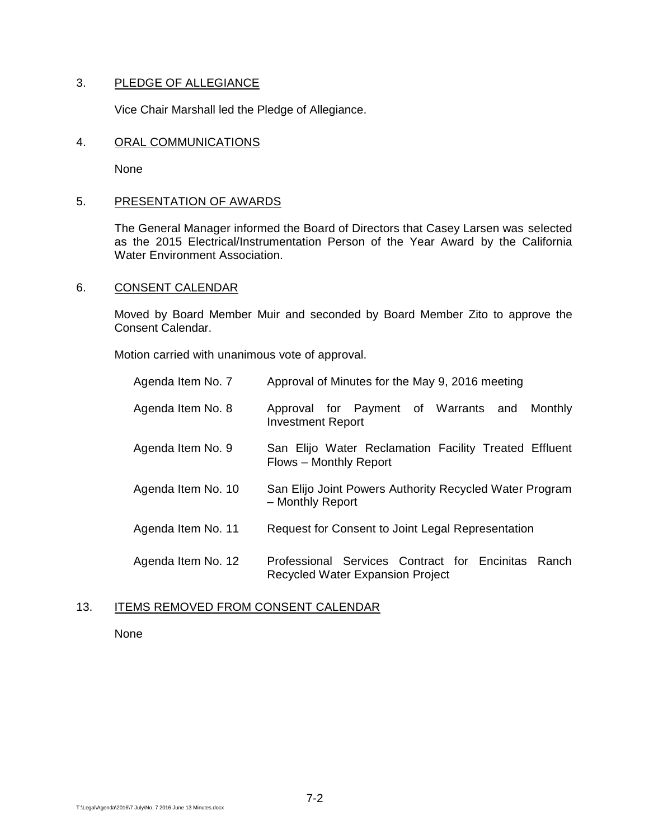# 3. PLEDGE OF ALLEGIANCE

Vice Chair Marshall led the Pledge of Allegiance.

### 4. ORAL COMMUNICATIONS

None

# 5. PRESENTATION OF AWARDS

The General Manager informed the Board of Directors that Casey Larsen was selected as the 2015 Electrical/Instrumentation Person of the Year Award by the California Water Environment Association.

# 6. CONSENT CALENDAR

Moved by Board Member Muir and seconded by Board Member Zito to approve the Consent Calendar.

Motion carried with unanimous vote of approval.

| Agenda Item No. 7  | Approval of Minutes for the May 9, 2016 meeting                                                  |
|--------------------|--------------------------------------------------------------------------------------------------|
| Agenda Item No. 8  | Approval for Payment of Warrants and<br>Monthly<br><b>Investment Report</b>                      |
| Agenda Item No. 9  | San Elijo Water Reclamation Facility Treated Effluent<br>Flows - Monthly Report                  |
| Agenda Item No. 10 | San Elijo Joint Powers Authority Recycled Water Program<br>- Monthly Report                      |
| Agenda Item No. 11 | Request for Consent to Joint Legal Representation                                                |
| Agenda Item No. 12 | Professional Services Contract for Encinitas<br>Ranch<br><b>Recycled Water Expansion Project</b> |

# 13. ITEMS REMOVED FROM CONSENT CALENDAR

None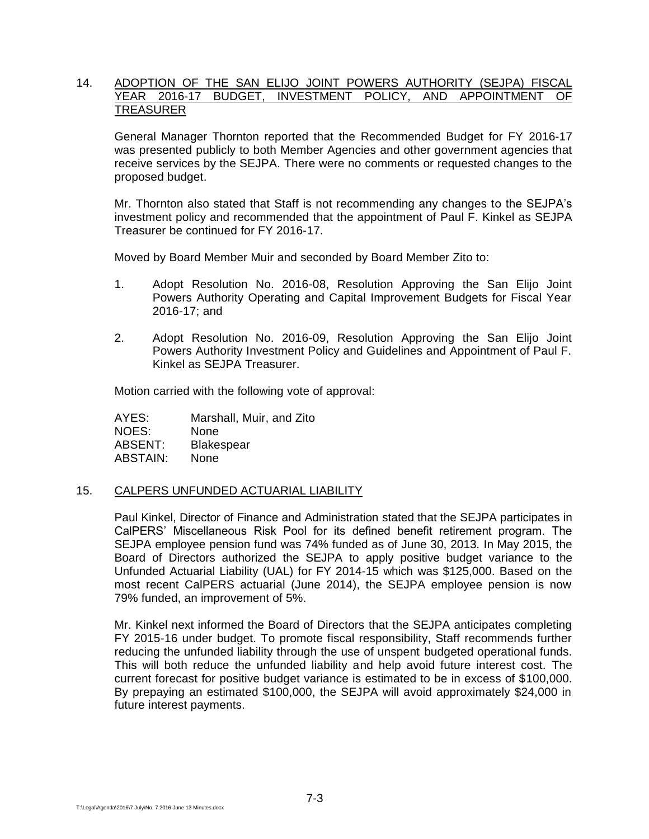## 14. ADOPTION OF THE SAN ELIJO JOINT POWERS AUTHORITY (SEJPA) FISCAL YEAR 2016-17 BUDGET, INVESTMENT POLICY, AND APPOINTMENT OF TREASURER

General Manager Thornton reported that the Recommended Budget for FY 2016-17 was presented publicly to both Member Agencies and other government agencies that receive services by the SEJPA. There were no comments or requested changes to the proposed budget.

Mr. Thornton also stated that Staff is not recommending any changes to the SEJPA's investment policy and recommended that the appointment of Paul F. Kinkel as SEJPA Treasurer be continued for FY 2016-17.

Moved by Board Member Muir and seconded by Board Member Zito to:

- 1. Adopt Resolution No. 2016-08, Resolution Approving the San Elijo Joint Powers Authority Operating and Capital Improvement Budgets for Fiscal Year 2016-17; and
- 2. Adopt Resolution No. 2016-09, Resolution Approving the San Elijo Joint Powers Authority Investment Policy and Guidelines and Appointment of Paul F. Kinkel as SEJPA Treasurer.

Motion carried with the following vote of approval:

AYES: Marshall, Muir, and Zito NOES: None ABSENT: Blakespear ABSTAIN: None

### 15. CALPERS UNFUNDED ACTUARIAL LIABILITY

Paul Kinkel, Director of Finance and Administration stated that the SEJPA participates in CalPERS' Miscellaneous Risk Pool for its defined benefit retirement program. The SEJPA employee pension fund was 74% funded as of June 30, 2013. In May 2015, the Board of Directors authorized the SEJPA to apply positive budget variance to the Unfunded Actuarial Liability (UAL) for FY 2014-15 which was \$125,000. Based on the most recent CalPERS actuarial (June 2014), the SEJPA employee pension is now 79% funded, an improvement of 5%.

Mr. Kinkel next informed the Board of Directors that the SEJPA anticipates completing FY 2015-16 under budget. To promote fiscal responsibility, Staff recommends further reducing the unfunded liability through the use of unspent budgeted operational funds. This will both reduce the unfunded liability and help avoid future interest cost. The current forecast for positive budget variance is estimated to be in excess of \$100,000. By prepaying an estimated \$100,000, the SEJPA will avoid approximately \$24,000 in future interest payments.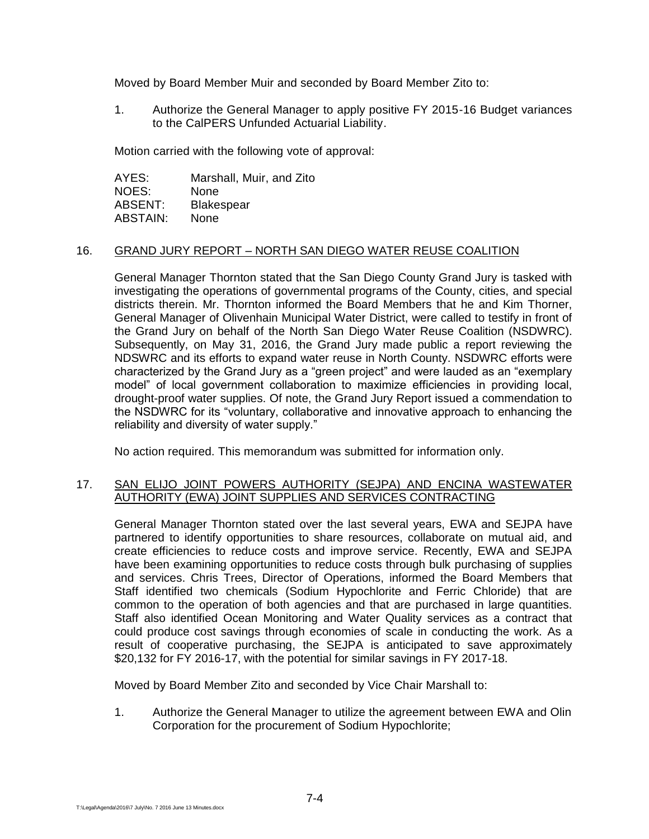Moved by Board Member Muir and seconded by Board Member Zito to:

1. Authorize the General Manager to apply positive FY 2015-16 Budget variances to the CalPERS Unfunded Actuarial Liability.

Motion carried with the following vote of approval:

AYES: Marshall, Muir, and Zito NOES: None ABSENT: Blakespear ABSTAIN: None

### 16. GRAND JURY REPORT – NORTH SAN DIEGO WATER REUSE COALITION

General Manager Thornton stated that the San Diego County Grand Jury is tasked with investigating the operations of governmental programs of the County, cities, and special districts therein. Mr. Thornton informed the Board Members that he and Kim Thorner, General Manager of Olivenhain Municipal Water District, were called to testify in front of the Grand Jury on behalf of the North San Diego Water Reuse Coalition (NSDWRC). Subsequently, on May 31, 2016, the Grand Jury made public a report reviewing the NDSWRC and its efforts to expand water reuse in North County. NSDWRC efforts were characterized by the Grand Jury as a "green project" and were lauded as an "exemplary model" of local government collaboration to maximize efficiencies in providing local, drought-proof water supplies. Of note, the Grand Jury Report issued a commendation to the NSDWRC for its "voluntary, collaborative and innovative approach to enhancing the reliability and diversity of water supply."

No action required. This memorandum was submitted for information only.

# 17. SAN ELIJO JOINT POWERS AUTHORITY (SEJPA) AND ENCINA WASTEWATER AUTHORITY (EWA) JOINT SUPPLIES AND SERVICES CONTRACTING

General Manager Thornton stated over the last several years, EWA and SEJPA have partnered to identify opportunities to share resources, collaborate on mutual aid, and create efficiencies to reduce costs and improve service. Recently, EWA and SEJPA have been examining opportunities to reduce costs through bulk purchasing of supplies and services. Chris Trees, Director of Operations, informed the Board Members that Staff identified two chemicals (Sodium Hypochlorite and Ferric Chloride) that are common to the operation of both agencies and that are purchased in large quantities. Staff also identified Ocean Monitoring and Water Quality services as a contract that could produce cost savings through economies of scale in conducting the work. As a result of cooperative purchasing, the SEJPA is anticipated to save approximately \$20,132 for FY 2016-17, with the potential for similar savings in FY 2017-18.

Moved by Board Member Zito and seconded by Vice Chair Marshall to:

1. Authorize the General Manager to utilize the agreement between EWA and Olin Corporation for the procurement of Sodium Hypochlorite;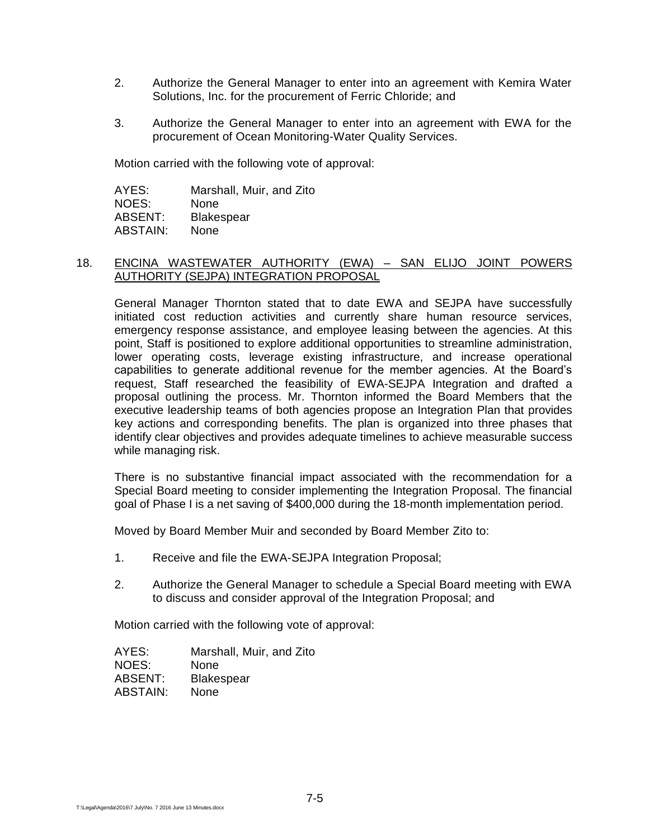- 2. Authorize the General Manager to enter into an agreement with Kemira Water Solutions, Inc. for the procurement of Ferric Chloride; and
- 3. Authorize the General Manager to enter into an agreement with EWA for the procurement of Ocean Monitoring-Water Quality Services.

Motion carried with the following vote of approval:

AYES: Marshall, Muir, and Zito NOES: None ABSENT: Blakespear ABSTAIN: None

### 18. ENCINA WASTEWATER AUTHORITY (EWA) – SAN ELIJO JOINT POWERS AUTHORITY (SEJPA) INTEGRATION PROPOSAL

General Manager Thornton stated that to date EWA and SEJPA have successfully initiated cost reduction activities and currently share human resource services, emergency response assistance, and employee leasing between the agencies. At this point, Staff is positioned to explore additional opportunities to streamline administration, lower operating costs, leverage existing infrastructure, and increase operational capabilities to generate additional revenue for the member agencies. At the Board's request, Staff researched the feasibility of EWA-SEJPA Integration and drafted a proposal outlining the process. Mr. Thornton informed the Board Members that the executive leadership teams of both agencies propose an Integration Plan that provides key actions and corresponding benefits. The plan is organized into three phases that identify clear objectives and provides adequate timelines to achieve measurable success while managing risk.

There is no substantive financial impact associated with the recommendation for a Special Board meeting to consider implementing the Integration Proposal. The financial goal of Phase I is a net saving of \$400,000 during the 18-month implementation period.

Moved by Board Member Muir and seconded by Board Member Zito to:

- 1. Receive and file the EWA-SEJPA Integration Proposal;
- 2. Authorize the General Manager to schedule a Special Board meeting with EWA to discuss and consider approval of the Integration Proposal; and

Motion carried with the following vote of approval:

AYES: Marshall, Muir, and Zito NOES: None ABSENT: Blakespear ABSTAIN: None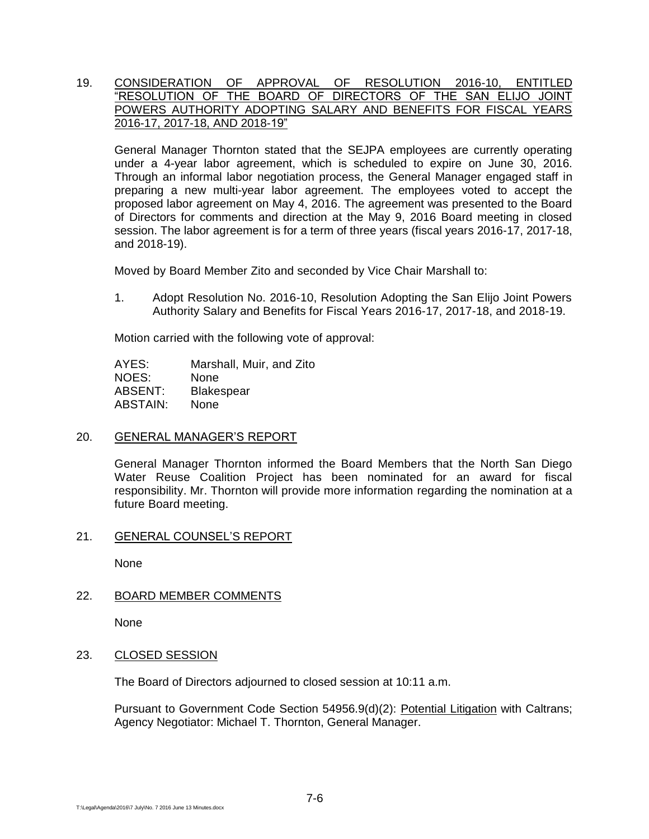# 19. CONSIDERATION OF APPROVAL OF RESOLUTION 2016-10, ENTITLED "RESOLUTION OF THE BOARD OF DIRECTORS OF THE SAN ELIJO JOINT POWERS AUTHORITY ADOPTING SALARY AND BENEFITS FOR FISCAL YEARS 2016-17, 2017-18, AND 2018-19"

General Manager Thornton stated that the SEJPA employees are currently operating under a 4-year labor agreement, which is scheduled to expire on June 30, 2016. Through an informal labor negotiation process, the General Manager engaged staff in preparing a new multi-year labor agreement. The employees voted to accept the proposed labor agreement on May 4, 2016. The agreement was presented to the Board of Directors for comments and direction at the May 9, 2016 Board meeting in closed session. The labor agreement is for a term of three years (fiscal years 2016-17, 2017-18, and 2018-19).

Moved by Board Member Zito and seconded by Vice Chair Marshall to:

1. Adopt Resolution No. 2016-10, Resolution Adopting the San Elijo Joint Powers Authority Salary and Benefits for Fiscal Years 2016-17, 2017-18, and 2018-19.

Motion carried with the following vote of approval:

AYES: Marshall, Muir, and Zito NOES: None ABSENT: Blakespear ABSTAIN: None

### 20. GENERAL MANAGER'S REPORT

General Manager Thornton informed the Board Members that the North San Diego Water Reuse Coalition Project has been nominated for an award for fiscal responsibility. Mr. Thornton will provide more information regarding the nomination at a future Board meeting.

## 21. GENERAL COUNSEL'S REPORT

None

### 22. BOARD MEMBER COMMENTS

None

# 23. CLOSED SESSION

The Board of Directors adjourned to closed session at 10:11 a.m.

Pursuant to Government Code Section 54956.9(d)(2): Potential Litigation with Caltrans; Agency Negotiator: Michael T. Thornton, General Manager.